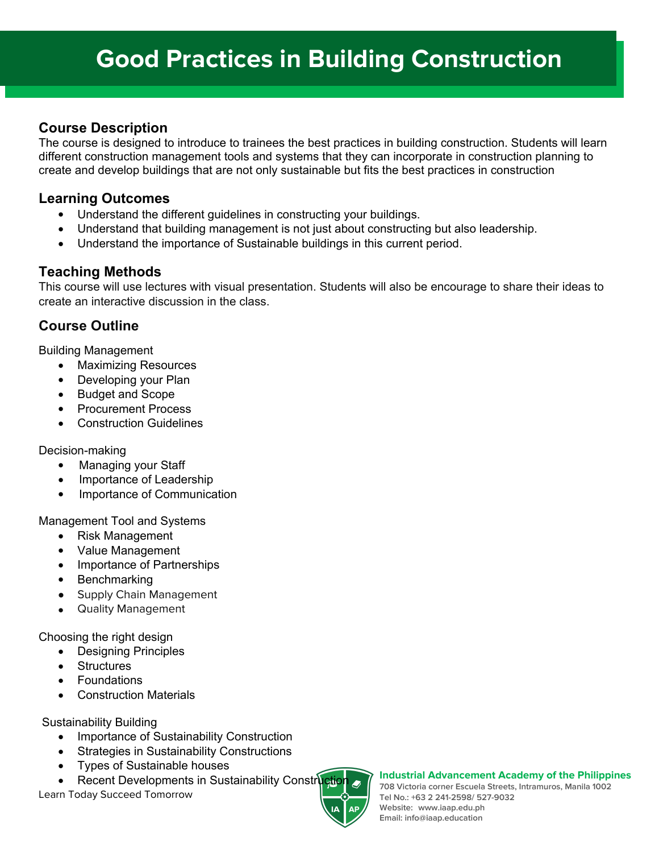## **Course Description**

The course is designed to introduce to trainees the best practices in building construction. Students will learn different construction management tools and systems that they can incorporate in construction planning to create and develop buildings that are not only sustainable but fits the best practices in construction

### **Learning Outcomes**

- Understand the different guidelines in constructing your buildings.
- Understand that building management is not just about constructing but also leadership.
- Understand the importance of Sustainable buildings in this current period.

### **Teaching Methods**

This course will use lectures with visual presentation. Students will also be encourage to share their ideas to create an interactive discussion in the class.

# **Course Outline**

Building Management

- Maximizing Resources
- Developing your Plan
- Budget and Scope
- Procurement Process
- Construction Guidelines

Decision-making

- Managing your Staff
- Importance of Leadership
- Importance of Communication

Management Tool and Systems

- Risk Management
- Value Management
- Importance of Partnerships
- Benchmarking
- Supply Chain Management
- Quality Management

Choosing the right design

- Designing Principles
- **Structures**
- Foundations
- Construction Materials

Sustainability Building

- Importance of Sustainability Construction
- Strategies in Sustainability Constructions
- Types of Sustainable houses
- Recent Developments in Sustainability Constru

Learn Today Succeed Tomorrow



#### **Industrial Advancement Academy of the Philippines**

**708 Victoria corner Escuela Streets, Intramuros, Manila 1002 Tel No.: +63 2 241-2598/ 527-9032 Website: www.iaap.edu.ph Email: info@iaap.education**